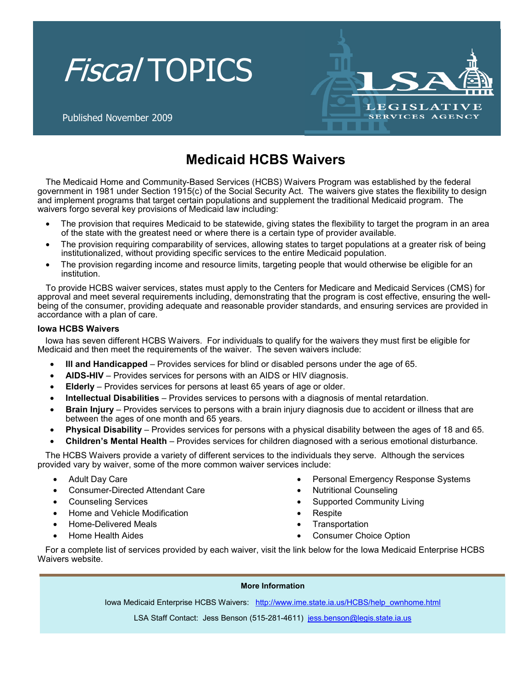



Published November 2009

# **Medicaid HCBS Waivers**

The Medicaid Home and Community-Based Services (HCBS) Waivers Program was established by the federal government in 1981 under Section 1915(c) of the Social Security Act. The waivers give states the flexibility to design and implement programs that target certain populations and supplement the traditional Medicaid program. The waivers forgo several key provisions of Medicaid law including:

- The provision that requires Medicaid to be statewide, giving states the flexibility to target the program in an area of the state with the greatest need or where there is a certain type of provider available.
- The provision requiring comparability of services, allowing states to target populations at a greater risk of being institutionalized, without providing specific services to the entire Medicaid population.
- The provision regarding income and resource limits, targeting people that would otherwise be eligible for an institution.

To provide HCBS waiver services, states must apply to the Centers for Medicare and Medicaid Services (CMS) for approval and meet several requirements including, demonstrating that the program is cost effective, ensuring the wellbeing of the consumer, providing adequate and reasonable provider standards, and ensuring services are provided in accordance with a plan of care.

### **Iowa HCBS Waivers**

Iowa has seven different HCBS Waivers. For individuals to qualify for the waivers they must first be eligible for Medicaid and then meet the requirements of the waiver. The seven waivers include:

- **Ill and Handicapped** Provides services for blind or disabled persons under the age of 65.
- **AIDS-HIV** Provides services for persons with an AIDS or HIV diagnosis.
- **Elderly** Provides services for persons at least 65 years of age or older.
- **Intellectual Disabilities** Provides services to persons with a diagnosis of mental retardation.
- **Brain Injury** Provides services to persons with a brain injury diagnosis due to accident or illness that are between the ages of one month and 65 years.
- **Physical Disability** Provides services for persons with a physical disability between the ages of 18 and 65.
- **Children's Mental Health** Provides services for children diagnosed with a serious emotional disturbance.

The HCBS Waivers provide a variety of different services to the individuals they serve. Although the services provided vary by waiver, some of the more common waiver services include:

- Adult Day Care
- Consumer-Directed Attendant Care
- Counseling Services
- Home and Vehicle Modification
- Home-Delivered Meals
- Home Health Aides
- Personal Emergency Response Systems
- Nutritional Counseling
- Supported Community Living
- **Respite**
- **Transportation**
- Consumer Choice Option

For a complete list of services provided by each waiver, visit the link below for the Iowa Medicaid Enterprise HCBS Waivers website.

#### **More Information**

Iowa Medicaid Enterprise HCBS Waivers: http://www.ime.state.ia.us/HCBS/help\_ownhome.html

LSA Staff Contact: Jess Benson (515-281-4611) jess.benson@legis.state.ia.us